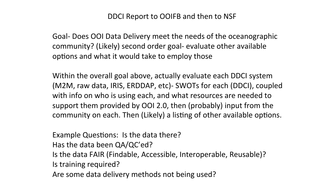DDCI Report to OOIFB and then to NSF

Goal- Does OOI Data Delivery meet the needs of the oceanographic community? (Likely) second order goal- evaluate other available options and what it would take to employ those

Within the overall goal above, actually evaluate each DDCI system (M2M, raw data, IRIS, ERDDAP, etc)- SWOTs for each (DDCI), coupled with info on who is using each, and what resources are needed to support them provided by OOI 2.0, then (probably) input from the community on each. Then (Likely) a listing of other available options.

Example Questions: Is the data there?

Has the data been QA/QC'ed?

Is the data FAIR (Findable, Accessible, Interoperable, Reusable)?

Is training required?

Are some data delivery methods not being used?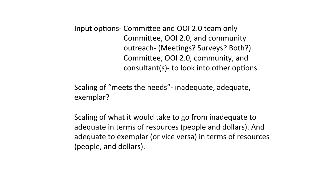Input options- Committee and OOI 2.0 team only Committee, OOI 2.0, and community outreach- (Meetings? Surveys? Both?) Committee, OOI 2.0, community, and consultant(s)- to look into other options

Scaling of "meets the needs"- inadequate, adequate, exemplar? 

Scaling of what it would take to go from inadequate to adequate in terms of resources (people and dollars). And adequate to exemplar (or vice versa) in terms of resources (people, and dollars).